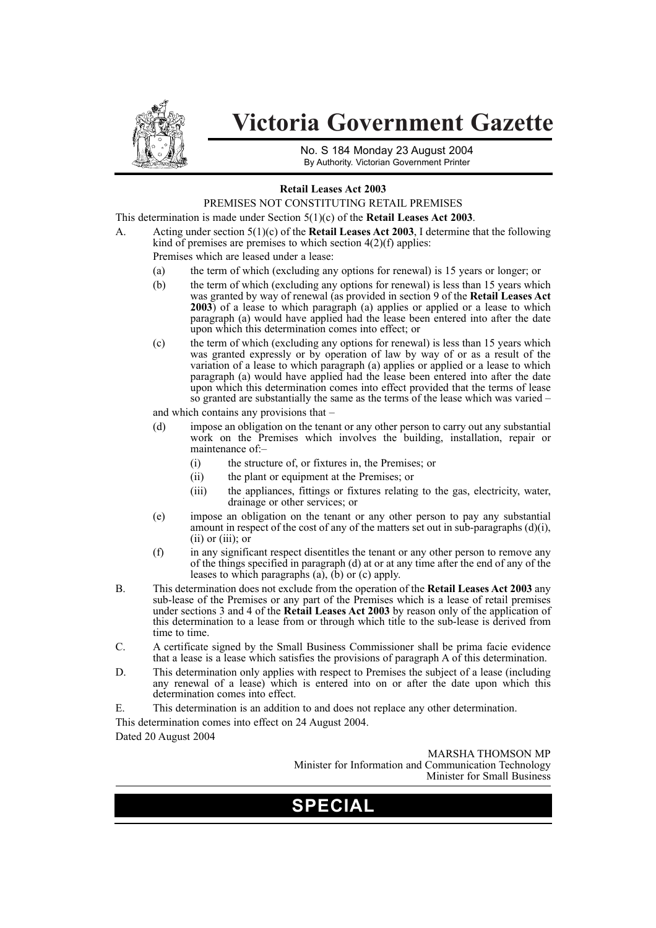

# **Victoria Government Gazette**

No. S 184 Monday 23 August 2004 By Authority. Victorian Government Printer

#### **Retail Leases Act 2003**

#### PREMISES NOT CONSTITUTING RETAIL PREMISES

This determination is made under Section 5(1)(c) of the **Retail Leases Act 2003**.

A. Acting under section 5(1)(c) of the **Retail Leases Act 2003**, I determine that the following kind of premises are premises to which section  $4(2)(f)$  applies:

Premises which are leased under a lease:

- (a) the term of which (excluding any options for renewal) is 15 years or longer; or
- (b) the term of which (excluding any options for renewal) is less than 15 years which was granted by way of renewal (as provided in section 9 of the **Retail Leases Act 2003**) of a lease to which paragraph (a) applies or applied or a lease to which paragraph (a) would have applied had the lease been entered into after the date upon which this determination comes into effect; or
- (c) the term of which (excluding any options for renewal) is less than 15 years which was granted expressly or by operation of law by way of or as a result of the variation of a lease to which paragraph (a) applies or applied or a lease to which paragraph (a) would have applied had the lease been entered into after the date upon which this determination comes into effect provided that the terms of lease so granted are substantially the same as the terms of the lease which was varied –

and which contains any provisions that –

- (d) impose an obligation on the tenant or any other person to carry out any substantial work on the Premises which involves the building, installation, repair or maintenance of:–
	- (i) the structure of, or fixtures in, the Premises; or
	- (ii) the plant or equipment at the Premises; or
	- (iii) the appliances, fittings or fixtures relating to the gas, electricity, water, drainage or other services; or
- (e) impose an obligation on the tenant or any other person to pay any substantial amount in respect of the cost of any of the matters set out in sub-paragraphs (d)(i),  $(ii)$  or  $(iii)$ ; or
- (f) in any significant respect disentitles the tenant or any other person to remove any of the things specified in paragraph (d) at or at any time after the end of any of the leases to which paragraphs  $(a)$ ,  $(b)$  or  $(c)$  apply.
- B. This determination does not exclude from the operation of the **Retail Leases Act 2003** any sub-lease of the Premises or any part of the Premises which is a lease of retail premises under sections 3 and 4 of the **Retail Leases Act 2003** by reason only of the application of this determination to a lease from or through which title to the sub-lease is derived from time to time.
- C. A certificate signed by the Small Business Commissioner shall be prima facie evidence that a lease is a lease which satisfies the provisions of paragraph A of this determination.
- D. This determination only applies with respect to Premises the subject of a lease (including any renewal of a lease) which is entered into on or after the date upon which this determination comes into effect.
- E. This determination is an addition to and does not replace any other determination.

This determination comes into effect on 24 August 2004.

Dated 20 August 2004

MARSHA THOMSON MP Minister for Information and Communication Technology Minister for Small Business